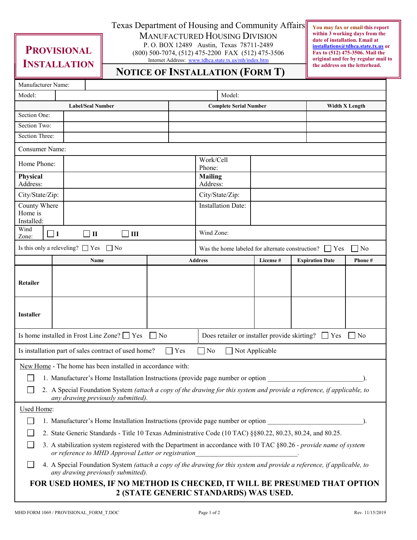| Texas Department of Housing and Community Affairs    |
|------------------------------------------------------|
| <b>MANUFACTURED HOUSING DIVISION</b>                 |
| P. O. BOX 12489 Austin, Texas 78711-2489             |
| (800) 500-7074, (512) 475-2200 FAX (512) 475-3506    |
| Internet Address: www.tdhca.state.tx.us/mh/index.htm |

**You may fax or email this report within 3 working days from the date of installation. Email at [installations@tdhca.state.tx.us](mailto:installations@tdhca.state.tx.us) or Fax to (512) 475-3506. Mail the original and fee by regular mail to the address on the letterhead.**

## **PROVISIONAL INSTALLATION**

## **NOTICE OF INSTALLATION (FORM T)**

| Manufacturer Name:                                                                                                                                                        |                                                                                                                                                               |                  |                           |                                                                          |  |                       |  |  |
|---------------------------------------------------------------------------------------------------------------------------------------------------------------------------|---------------------------------------------------------------------------------------------------------------------------------------------------------------|------------------|---------------------------|--------------------------------------------------------------------------|--|-----------------------|--|--|
| Model:                                                                                                                                                                    |                                                                                                                                                               | Model:           |                           |                                                                          |  |                       |  |  |
| <b>Label/Seal Number</b>                                                                                                                                                  |                                                                                                                                                               |                  |                           | <b>Complete Serial Number</b>                                            |  | <b>Width X Length</b> |  |  |
| Section One:                                                                                                                                                              |                                                                                                                                                               |                  |                           |                                                                          |  |                       |  |  |
| Section Two:                                                                                                                                                              |                                                                                                                                                               |                  |                           |                                                                          |  |                       |  |  |
| Section Three:                                                                                                                                                            |                                                                                                                                                               |                  |                           |                                                                          |  |                       |  |  |
| Consumer Name:                                                                                                                                                            |                                                                                                                                                               |                  |                           |                                                                          |  |                       |  |  |
| Home Phone:                                                                                                                                                               |                                                                                                                                                               |                  |                           | Work/Cell<br>Phone:                                                      |  |                       |  |  |
| Physical<br>Address:                                                                                                                                                      |                                                                                                                                                               |                  |                           | Mailing<br>Address:                                                      |  |                       |  |  |
| City/State/Zip:                                                                                                                                                           |                                                                                                                                                               |                  |                           | City/State/Zip:                                                          |  |                       |  |  |
| County Where<br>Home is<br>Installed:                                                                                                                                     |                                                                                                                                                               |                  | <b>Installation Date:</b> |                                                                          |  |                       |  |  |
| Wind<br>Zone:                                                                                                                                                             | $\Box$ I                                                                                                                                                      | $\Box$ II<br>III | Wind Zone:                |                                                                          |  |                       |  |  |
| Is this only a releveling? $\Box$ Yes<br>    No                                                                                                                           |                                                                                                                                                               |                  |                           | $\Box$ No<br>Was the home labeled for alternate construction? $\Box$ Yes |  |                       |  |  |
|                                                                                                                                                                           |                                                                                                                                                               | Name             | <b>Address</b>            | License#<br><b>Expiration Date</b><br>Phone#                             |  |                       |  |  |
| Retailer                                                                                                                                                                  |                                                                                                                                                               |                  |                           |                                                                          |  |                       |  |  |
| <b>Installer</b>                                                                                                                                                          |                                                                                                                                                               |                  |                           |                                                                          |  |                       |  |  |
| Is home installed in Frost Line Zone? $\Box$ Yes<br>$\vert$   No                                                                                                          |                                                                                                                                                               |                  |                           | Does retailer or installer provide skirting?<br>$ $ Yes<br> No           |  |                       |  |  |
| Yes<br>$\Box$ No<br>Is installation part of sales contract of used home?<br>Not Applicable                                                                                |                                                                                                                                                               |                  |                           |                                                                          |  |                       |  |  |
| New Home - The home has been installed in accordance with:                                                                                                                |                                                                                                                                                               |                  |                           |                                                                          |  |                       |  |  |
| 1. Manufacturer's Home Installation Instructions (provide page number or option                                                                                           |                                                                                                                                                               |                  |                           |                                                                          |  |                       |  |  |
| $\Box$<br>2. A Special Foundation System (attach a copy of the drawing for this system and provide a reference, if applicable, to                                         |                                                                                                                                                               |                  |                           |                                                                          |  |                       |  |  |
| any drawing previously submitted).                                                                                                                                        |                                                                                                                                                               |                  |                           |                                                                          |  |                       |  |  |
| Used Home:                                                                                                                                                                |                                                                                                                                                               |                  |                           |                                                                          |  |                       |  |  |
| 1. Manufacturer's Home Installation Instructions (provide page number or option                                                                                           |                                                                                                                                                               |                  |                           |                                                                          |  |                       |  |  |
| 2. State Generic Standards - Title 10 Texas Administrative Code (10 TAC) §§80.22, 80.23, 80.24, and 80.25.                                                                |                                                                                                                                                               |                  |                           |                                                                          |  |                       |  |  |
| 3. A stabilization system registered with the Department in accordance with 10 TAC §80.26 - provide name of system<br>or reference to MHD Approval Letter or registration |                                                                                                                                                               |                  |                           |                                                                          |  |                       |  |  |
|                                                                                                                                                                           | 4. A Special Foundation System (attach a copy of the drawing for this system and provide a reference, if applicable, to<br>any drawing previously submitted). |                  |                           |                                                                          |  |                       |  |  |
| FOR USED HOMES, IF NO METHOD IS CHECKED, IT WILL BE PRESUMED THAT OPTION<br>2 (STATE GENERIC STANDARDS) WAS USED.                                                         |                                                                                                                                                               |                  |                           |                                                                          |  |                       |  |  |